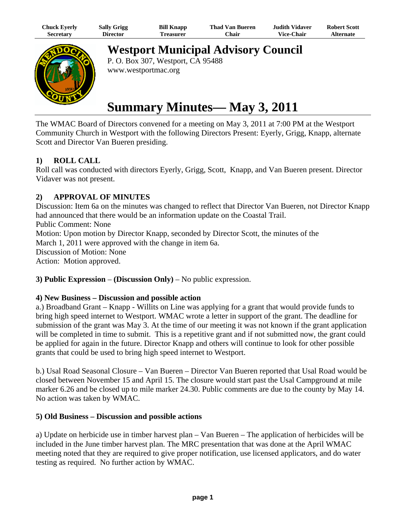| Chuck Eyerly     | <b>Sally Grigg</b> | <b>Bill Knapp</b> | <b>Thad Van Bueren</b> | Judith Vidaver.   | <b>Robert Scott</b> |
|------------------|--------------------|-------------------|------------------------|-------------------|---------------------|
| <b>Secretary</b> | Director           | l`reasurer        | ⊡hair                  | <b>Vice-Chair</b> | <b>Alternate</b>    |



**Westport Municipal Advisory Council**

P. O. Box 307, Westport, CA 95488 www.westportmac.org

# **Summary Minutes— May 3, 2011**

The WMAC Board of Directors convened for a meeting on May 3, 2011 at 7:00 PM at the Westport Community Church in Westport with the following Directors Present: Eyerly, Grigg, Knapp, alternate Scott and Director Van Bueren presiding.

# **1) ROLL CALL**

Roll call was conducted with directors Eyerly, Grigg, Scott, Knapp, and Van Bueren present. Director Vidaver was not present.

# **2) APPROVAL OF MINUTES**

Discussion: Item 6a on the minutes was changed to reflect that Director Van Bueren, not Director Knapp had announced that there would be an information update on the Coastal Trail. Public Comment: None Motion: Upon motion by Director Knapp, seconded by Director Scott, the minutes of the March 1, 2011 were approved with the change in item 6a. Discussion of Motion: None Action: Motion approved.

## **3) Public Expression** – **(Discussion Only)** – No public expression.

## **4) New Business – Discussion and possible action**

a.) Broadband Grant – Knapp - Willits on Line was applying for a grant that would provide funds to bring high speed internet to Westport. WMAC wrote a letter in support of the grant. The deadline for submission of the grant was May 3. At the time of our meeting it was not known if the grant application will be completed in time to submit. This is a repetitive grant and if not submitted now, the grant could be applied for again in the future. Director Knapp and others will continue to look for other possible grants that could be used to bring high speed internet to Westport.

b.) Usal Road Seasonal Closure – Van Bueren – Director Van Bueren reported that Usal Road would be closed between November 15 and April 15. The closure would start past the Usal Campground at mile marker 6.26 and be closed up to mile marker 24.30. Public comments are due to the county by May 14. No action was taken by WMAC.

## **5) Old Business – Discussion and possible actions**

a) Update on herbicide use in timber harvest plan – Van Bueren – The application of herbicides will be included in the June timber harvest plan. The MRC presentation that was done at the April WMAC meeting noted that they are required to give proper notification, use licensed applicators, and do water testing as required. No further action by WMAC.